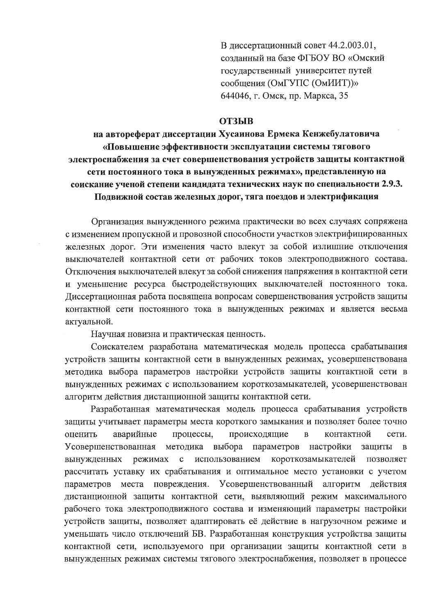В диссертационный совет 44.2.003.01, созданный на базе ФГБОУ ВО «Омский государственный университет путей сообщения (ОмГУПС (ОмИИТ))» 644046, г. Омск, пр. Маркса, 35

## **ОТЗЫВ**

на автореферат диссертации Хусаинова Ермека Кенжебулатовича «Повышение эффективности эксплуатации системы тягового электроснабжения за счет совершенствования устройств защиты контактной сети постоянного тока в вынужденных режимах», представленную на соискание ученой степени кандидата технических наук по специальности 2.9.3. Подвижной состав железных дорог, тяга поездов и электрификация

Организация вынужденного режима практически во всех случаях сопряжена с изменением пропускной и провозной способности участков электрифицированных железных дорог. Эти изменения часто влекут за собой излишние отключения выключателей контактной сети от рабочих токов электроподвижного состава. Отключения выключателей влекут за собой снижения напряжения в контактной сети и уменьшение ресурса быстродействующих выключателей постоянного тока. Диссертационная работа посвящена вопросам совершенствования устройств защиты контактной сети постоянного тока в вынужденных режимах и является весьма актуальной.

Научная новизна и практическая ценность.

Соискателем разработана математическая модель процесса срабатывания устройств защиты контактной сети в вынужденных режимах, усовершенствована методика выбора параметров настройки устройств защиты контактной сети в вынужденных режимах с использованием короткозамыкателей, усовершенствован алгоритм действия дистанционной защиты контактной сети.

Разработанная математическая модель процесса срабатывания устройств защиты учитывает параметры места короткого замыкания и позволяет более точно аварийные оценить процессы, происходящие  $\, {\bf B}$ контактной сети. Усовершенствованная методика выбора параметров настройки защиты  $\overline{R}$ с использованием короткозамыкателей вынужденных режимах позволяет рассчитать уставку их срабатывания и оптимальное место установки с учетом параметров места повреждения. Усовершенствованный алгоритм лействия дистанционной защиты контактной сети, выявляющий режим максимального рабочего тока электроподвижного состава и изменяющий параметры настройки устройств защиты, позволяет адаптировать её действие в нагрузочном режиме и уменьшать число отключений БВ. Разработанная конструкция устройства защиты контактной сети, используемого при организации защиты контактной сети в вынужденных режимах системы тягового электроснабжения, позволяет в процессе